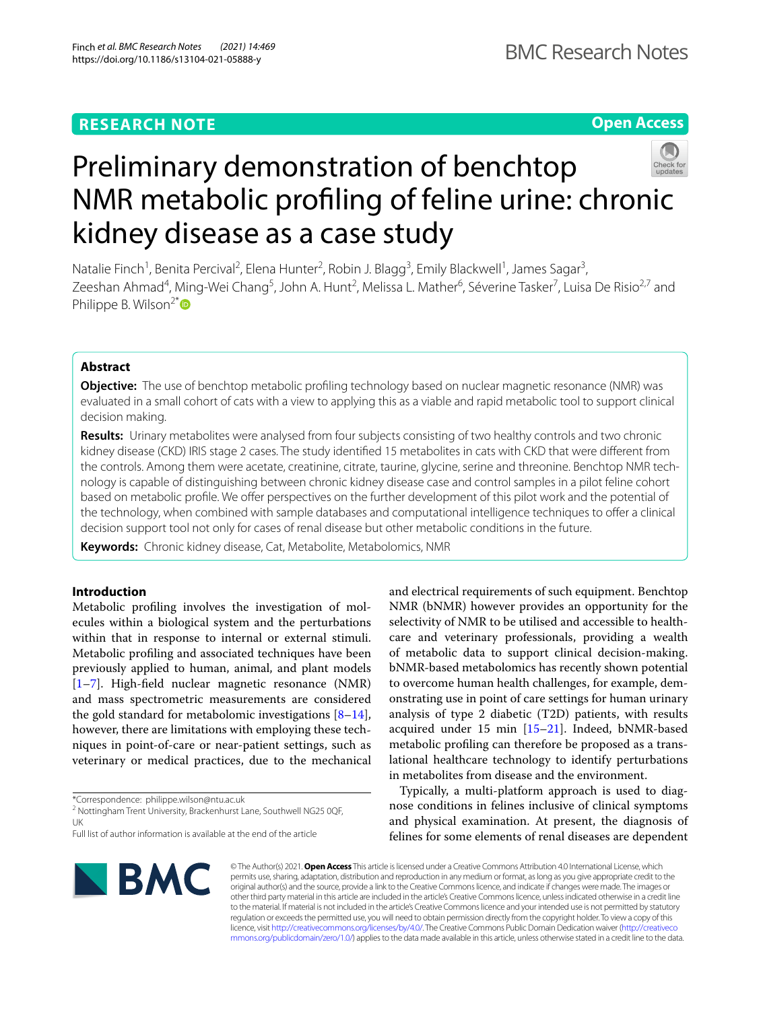## **RESEARCH NOTE**

**Open Access**

# Preliminary demonstration of benchtop NMR metabolic profling of feline urine: chronic kidney disease as a case study

Natalie Finch<sup>1</sup>, Benita Percival<sup>2</sup>, Elena Hunter<sup>2</sup>, Robin J. Blagg<sup>3</sup>, Emily Blackwell<sup>1</sup>, James Sagar<sup>3</sup>, Zeeshan Ahmad<sup>4</sup>, Ming-Wei Chang<sup>5</sup>, John A. Hunt<sup>2</sup>, Melissa L. Mather<sup>6</sup>, Séverine Tasker<sup>7</sup>, Luisa De Risio<sup>2,7</sup> and Philippe B. Wilson<sup>2[\\*](http://orcid.org/0000-0003-0207-2246)</sup>

## **Abstract**

**Objective:** The use of benchtop metabolic profling technology based on nuclear magnetic resonance (NMR) was evaluated in a small cohort of cats with a view to applying this as a viable and rapid metabolic tool to support clinical decision making.

**Results:** Urinary metabolites were analysed from four subjects consisting of two healthy controls and two chronic kidney disease (CKD) IRIS stage 2 cases. The study identifed 15 metabolites in cats with CKD that were diferent from the controls. Among them were acetate, creatinine, citrate, taurine, glycine, serine and threonine. Benchtop NMR technology is capable of distinguishing between chronic kidney disease case and control samples in a pilot feline cohort based on metabolic profle. We ofer perspectives on the further development of this pilot work and the potential of the technology, when combined with sample databases and computational intelligence techniques to ofer a clinical decision support tool not only for cases of renal disease but other metabolic conditions in the future.

**Keywords:** Chronic kidney disease, Cat, Metabolite, Metabolomics, NMR

## **Introduction**

Metabolic profling involves the investigation of molecules within a biological system and the perturbations within that in response to internal or external stimuli. Metabolic profling and associated techniques have been previously applied to human, animal, and plant models [[1–](#page-4-0)[7\]](#page-4-1). High-feld nuclear magnetic resonance (NMR) and mass spectrometric measurements are considered the gold standard for metabolomic investigations  $[8-14]$  $[8-14]$ , however, there are limitations with employing these techniques in point-of-care or near-patient settings, such as veterinary or medical practices, due to the mechanical

\*Correspondence: philippe.wilson@ntu.ac.uk

<sup>2</sup> Nottingham Trent University, Brackenhurst Lane, Southwell NG25 0QF, UK

and electrical requirements of such equipment. Benchtop NMR (bNMR) however provides an opportunity for the selectivity of NMR to be utilised and accessible to healthcare and veterinary professionals, providing a wealth of metabolic data to support clinical decision-making. bNMR-based metabolomics has recently shown potential to overcome human health challenges, for example, demonstrating use in point of care settings for human urinary analysis of type 2 diabetic (T2D) patients, with results acquired under 15 min [[15–](#page-4-4)[21](#page-4-5)]. Indeed, bNMR-based metabolic profling can therefore be proposed as a translational healthcare technology to identify perturbations in metabolites from disease and the environment.

Typically, a multi-platform approach is used to diagnose conditions in felines inclusive of clinical symptoms and physical examination. At present, the diagnosis of felines for some elements of renal diseases are dependent



© The Author(s) 2021. **Open Access** This article is licensed under a Creative Commons Attribution 4.0 International License, which permits use, sharing, adaptation, distribution and reproduction in any medium or format, as long as you give appropriate credit to the original author(s) and the source, provide a link to the Creative Commons licence, and indicate if changes were made. The images or other third party material in this article are included in the article's Creative Commons licence, unless indicated otherwise in a credit line to the material. If material is not included in the article's Creative Commons licence and your intended use is not permitted by statutory regulation or exceeds the permitted use, you will need to obtain permission directly from the copyright holder. To view a copy of this licence, visit [http://creativecommons.org/licenses/by/4.0/.](http://creativecommons.org/licenses/by/4.0/) The Creative Commons Public Domain Dedication waiver ([http://creativeco](http://creativecommons.org/publicdomain/zero/1.0/) [mmons.org/publicdomain/zero/1.0/](http://creativecommons.org/publicdomain/zero/1.0/)) applies to the data made available in this article, unless otherwise stated in a credit line to the data.

Full list of author information is available at the end of the article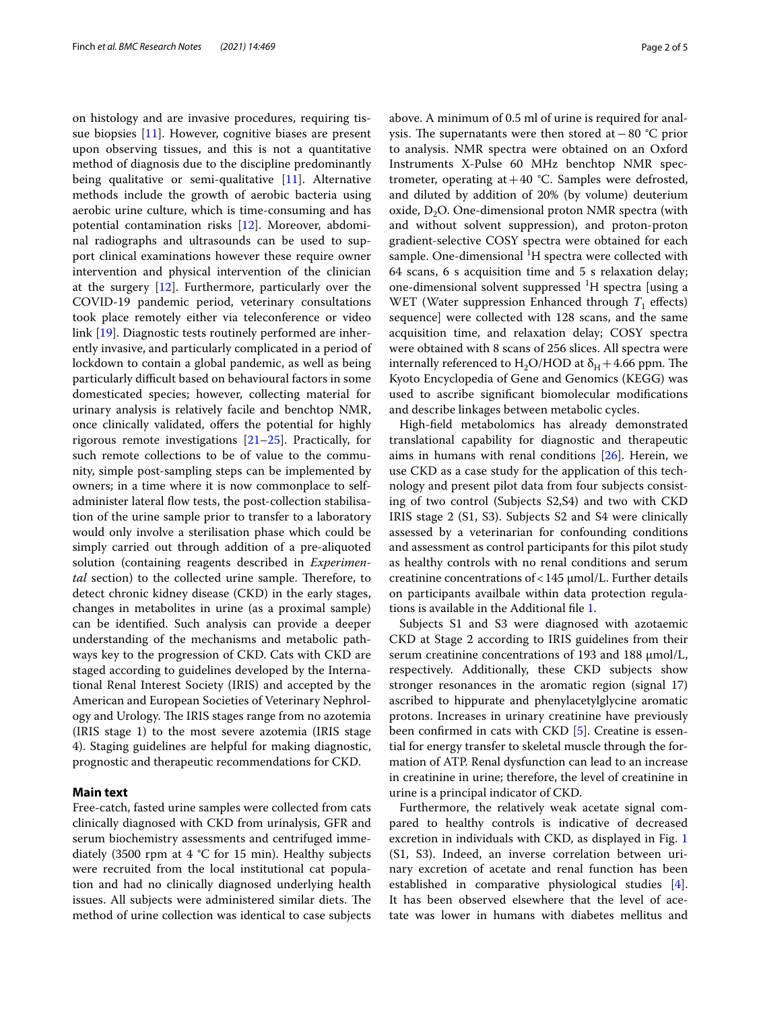on histology and are invasive procedures, requiring tissue biopsies [[11\]](#page-4-6). However, cognitive biases are present upon observing tissues, and this is not a quantitative method of diagnosis due to the discipline predominantly being qualitative or semi-qualitative [[11](#page-4-6)]. Alternative methods include the growth of aerobic bacteria using aerobic urine culture, which is time-consuming and has potential contamination risks [\[12](#page-4-7)]. Moreover, abdominal radiographs and ultrasounds can be used to support clinical examinations however these require owner intervention and physical intervention of the clinician at the surgery [[12](#page-4-7)]. Furthermore, particularly over the COVID-19 pandemic period, veterinary consultations took place remotely either via teleconference or video link [\[19\]](#page-4-8). Diagnostic tests routinely performed are inherently invasive, and particularly complicated in a period of lockdown to contain a global pandemic, as well as being particularly difcult based on behavioural factors in some domesticated species; however, collecting material for urinary analysis is relatively facile and benchtop NMR, once clinically validated, offers the potential for highly rigorous remote investigations  $[21–25]$  $[21–25]$  $[21–25]$  $[21–25]$ . Practically, for such remote collections to be of value to the community, simple post-sampling steps can be implemented by owners; in a time where it is now commonplace to selfadminister lateral flow tests, the post-collection stabilisation of the urine sample prior to transfer to a laboratory would only involve a sterilisation phase which could be simply carried out through addition of a pre-aliquoted solution (containing reagents described in *Experimental* section) to the collected urine sample. Therefore, to detect chronic kidney disease (CKD) in the early stages, changes in metabolites in urine (as a proximal sample) can be identifed. Such analysis can provide a deeper understanding of the mechanisms and metabolic pathways key to the progression of CKD. Cats with CKD are staged according to guidelines developed by the International Renal Interest Society (IRIS) and accepted by the American and European Societies of Veterinary Nephrology and Urology. The IRIS stages range from no azotemia (IRIS stage 1) to the most severe azotemia (IRIS stage 4). Staging guidelines are helpful for making diagnostic, prognostic and therapeutic recommendations for CKD.

## **Main text**

Free-catch, fasted urine samples were collected from cats clinically diagnosed with CKD from urinalysis, GFR and serum biochemistry assessments and centrifuged immediately (3500 rpm at  $4 °C$  for 15 min). Healthy subjects were recruited from the local institutional cat population and had no clinically diagnosed underlying health issues. All subjects were administered similar diets. The method of urine collection was identical to case subjects above. A minimum of 0.5 ml of urine is required for analysis. The supernatants were then stored at  $-80$  °C prior to analysis. NMR spectra were obtained on an Oxford Instruments X-Pulse 60 MHz benchtop NMR spectrometer, operating at  $+40$  °C. Samples were defrosted, and diluted by addition of 20% (by volume) deuterium oxide,  $D_2O$ . One-dimensional proton NMR spectra (with and without solvent suppression), and proton-proton gradient-selective COSY spectra were obtained for each sample. One-dimensional  ${}^{1}H$  spectra were collected with 64 scans, 6 s acquisition time and 5 s relaxation delay; one-dimensional solvent suppressed <sup>1</sup>H spectra [using a WET (Water suppression Enhanced through  $T_1$  effects) sequence] were collected with 128 scans, and the same acquisition time, and relaxation delay; COSY spectra were obtained with 8 scans of 256 slices. All spectra were internally referenced to  $H_2O/HOD$  at  $\delta_H$  + 4.66 ppm. The Kyoto Encyclopedia of Gene and Genomics (KEGG) was used to ascribe signifcant biomolecular modifcations and describe linkages between metabolic cycles.

High-feld metabolomics has already demonstrated translational capability for diagnostic and therapeutic aims in humans with renal conditions [[26](#page-4-11)]. Herein, we use CKD as a case study for the application of this technology and present pilot data from four subjects consisting of two control (Subjects S2,S4) and two with CKD IRIS stage 2 (S1, S3). Subjects S2 and S4 were clinically assessed by a veterinarian for confounding conditions and assessment as control participants for this pilot study as healthy controls with no renal conditions and serum creatinine concentrations of<145 μmol/L. Further details on participants availbale within data protection regulations is available in the Additional fle [1.](#page-3-0)

Subjects S1 and S3 were diagnosed with azotaemic CKD at Stage 2 according to IRIS guidelines from their serum creatinine concentrations of 193 and 188 μmol/L, respectively. Additionally, these CKD subjects show stronger resonances in the aromatic region (signal 17) ascribed to hippurate and phenylacetylglycine aromatic protons. Increases in urinary creatinine have previously been confrmed in cats with CKD [[5\]](#page-4-12). Creatine is essential for energy transfer to skeletal muscle through the formation of ATP. Renal dysfunction can lead to an increase in creatinine in urine; therefore, the level of creatinine in urine is a principal indicator of CKD.

Furthermore, the relatively weak acetate signal compared to healthy controls is indicative of decreased excretion in individuals with CKD, as displayed in Fig. [1](#page-2-0) (S1, S3). Indeed, an inverse correlation between urinary excretion of acetate and renal function has been established in comparative physiological studies [\[4](#page-4-13)]. It has been observed elsewhere that the level of acetate was lower in humans with diabetes mellitus and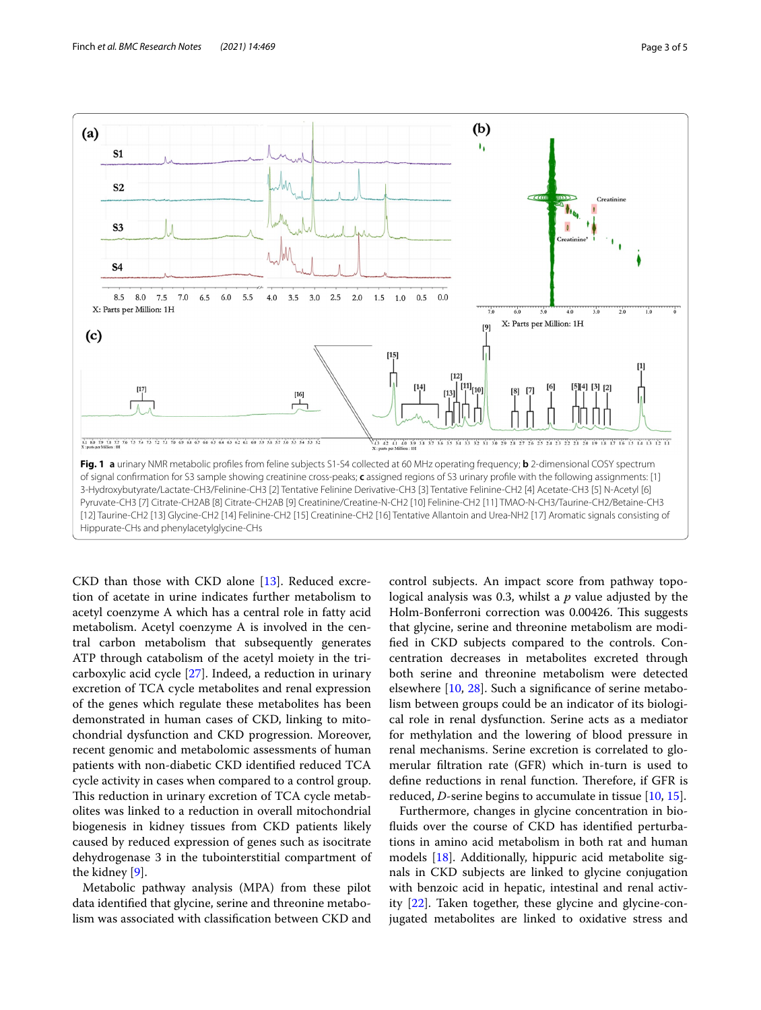

<span id="page-2-0"></span>CKD than those with CKD alone [[13](#page-4-14)]. Reduced excretion of acetate in urine indicates further metabolism to acetyl coenzyme A which has a central role in fatty acid metabolism. Acetyl coenzyme A is involved in the central carbon metabolism that subsequently generates ATP through catabolism of the acetyl moiety in the tricarboxylic acid cycle [[27\]](#page-4-15). Indeed, a reduction in urinary excretion of TCA cycle metabolites and renal expression of the genes which regulate these metabolites has been demonstrated in human cases of CKD, linking to mitochondrial dysfunction and CKD progression. Moreover, recent genomic and metabolomic assessments of human patients with non-diabetic CKD identifed reduced TCA cycle activity in cases when compared to a control group. This reduction in urinary excretion of TCA cycle metabolites was linked to a reduction in overall mitochondrial biogenesis in kidney tissues from CKD patients likely caused by reduced expression of genes such as isocitrate dehydrogenase 3 in the tubointerstitial compartment of the kidney [[9\]](#page-4-16).

Metabolic pathway analysis (MPA) from these pilot data identifed that glycine, serine and threonine metabolism was associated with classifcation between CKD and

control subjects. An impact score from pathway topological analysis was 0.3, whilst a *p* value adjusted by the Holm-Bonferroni correction was 0.00426. This suggests that glycine, serine and threonine metabolism are modifed in CKD subjects compared to the controls. Concentration decreases in metabolites excreted through both serine and threonine metabolism were detected elsewhere [\[10](#page-4-17), [28](#page-4-18)]. Such a signifcance of serine metabolism between groups could be an indicator of its biological role in renal dysfunction. Serine acts as a mediator for methylation and the lowering of blood pressure in renal mechanisms. Serine excretion is correlated to glomerular fltration rate (GFR) which in-turn is used to define reductions in renal function. Therefore, if GFR is reduced, *D*-serine begins to accumulate in tissue [[10,](#page-4-17) [15\]](#page-4-4).

Furthermore, changes in glycine concentration in biofuids over the course of CKD has identifed perturbations in amino acid metabolism in both rat and human models [\[18](#page-4-19)]. Additionally, hippuric acid metabolite signals in CKD subjects are linked to glycine conjugation with benzoic acid in hepatic, intestinal and renal activity [\[22](#page-4-20)]. Taken together, these glycine and glycine-conjugated metabolites are linked to oxidative stress and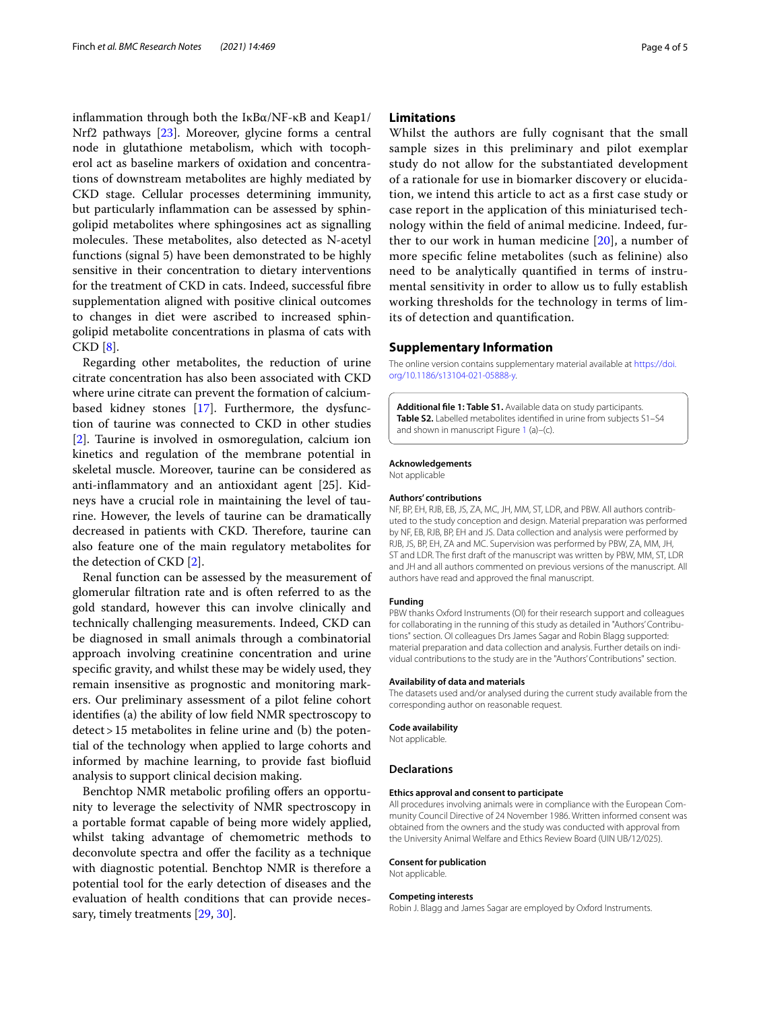infammation through both the IκBα/NF-κB and Keap1/ Nrf2 pathways [[23\]](#page-4-21). Moreover, glycine forms a central node in glutathione metabolism, which with tocopherol act as baseline markers of oxidation and concentrations of downstream metabolites are highly mediated by CKD stage. Cellular processes determining immunity, but particularly infammation can be assessed by sphingolipid metabolites where sphingosines act as signalling molecules. These metabolites, also detected as N-acetyl functions (signal 5) have been demonstrated to be highly sensitive in their concentration to dietary interventions for the treatment of CKD in cats. Indeed, successful fbre supplementation aligned with positive clinical outcomes to changes in diet were ascribed to increased sphingolipid metabolite concentrations in plasma of cats with CKD [\[8\]](#page-4-2).

Regarding other metabolites, the reduction of urine citrate concentration has also been associated with CKD where urine citrate can prevent the formation of calciumbased kidney stones [\[17](#page-4-22)]. Furthermore, the dysfunction of taurine was connected to CKD in other studies [[2\]](#page-4-23). Taurine is involved in osmoregulation, calcium ion kinetics and regulation of the membrane potential in skeletal muscle. Moreover, taurine can be considered as anti-infammatory and an antioxidant agent [25]. Kidneys have a crucial role in maintaining the level of taurine. However, the levels of taurine can be dramatically decreased in patients with CKD. Therefore, taurine can also feature one of the main regulatory metabolites for the detection of CKD [[2\]](#page-4-23).

Renal function can be assessed by the measurement of glomerular fltration rate and is often referred to as the gold standard, however this can involve clinically and technically challenging measurements. Indeed, CKD can be diagnosed in small animals through a combinatorial approach involving creatinine concentration and urine specifc gravity, and whilst these may be widely used, they remain insensitive as prognostic and monitoring markers. Our preliminary assessment of a pilot feline cohort identifes (a) the ability of low feld NMR spectroscopy to detect>15 metabolites in feline urine and (b) the potential of the technology when applied to large cohorts and informed by machine learning, to provide fast biofuid analysis to support clinical decision making.

Benchtop NMR metabolic profiling offers an opportunity to leverage the selectivity of NMR spectroscopy in a portable format capable of being more widely applied, whilst taking advantage of chemometric methods to deconvolute spectra and offer the facility as a technique with diagnostic potential. Benchtop NMR is therefore a potential tool for the early detection of diseases and the evaluation of health conditions that can provide necessary, timely treatments [\[29](#page-4-24), [30](#page-4-25)].

## **Limitations**

Whilst the authors are fully cognisant that the small sample sizes in this preliminary and pilot exemplar study do not allow for the substantiated development of a rationale for use in biomarker discovery or elucidation, we intend this article to act as a frst case study or case report in the application of this miniaturised technology within the feld of animal medicine. Indeed, further to our work in human medicine [[20\]](#page-4-5), a number of more specifc feline metabolites (such as felinine) also need to be analytically quantifed in terms of instrumental sensitivity in order to allow us to fully establish working thresholds for the technology in terms of limits of detection and quantifcation.

#### **Supplementary Information**

The online version contains supplementary material available at [https://doi.](https://doi.org/10.1186/s13104-021-05888-y) [org/10.1186/s13104-021-05888-y.](https://doi.org/10.1186/s13104-021-05888-y)

<span id="page-3-0"></span>**Additional fle 1: Table S1.** Available data on study participants. **Table S2.** Labelled metabolites identifed in urine from subjects S1–S4 and shown in manuscript Figure [1](#page-2-0) (a)–(c).

## **Acknowledgements**

Not applicable

#### **Authors' contributions**

NF, BP, EH, RJB, EB, JS, ZA, MC, JH, MM, ST, LDR, and PBW. All authors contributed to the study conception and design. Material preparation was performed by NF, EB, RJB, BP, EH and JS. Data collection and analysis were performed by RJB, JS, BP, EH, ZA and MC. Supervision was performed by PBW, ZA, MM, JH, ST and LDR. The frst draft of the manuscript was written by PBW, MM, ST, LDR and JH and all authors commented on previous versions of the manuscript. All authors have read and approved the fnal manuscript.

#### **Funding**

PBW thanks Oxford Instruments (OI) for their research support and colleagues for collaborating in the running of this study as detailed in "Authors' Contributions" section. OI colleagues Drs James Sagar and Robin Blagg supported: material preparation and data collection and analysis. Further details on individual contributions to the study are in the "Authors' Contributions" section.

#### **Availability of data and materials**

The datasets used and/or analysed during the current study available from the corresponding author on reasonable request.

#### **Code availability**

Not applicable.

#### **Declarations**

#### **Ethics approval and consent to participate**

All procedures involving animals were in compliance with the European Community Council Directive of 24 November 1986. Written informed consent was obtained from the owners and the study was conducted with approval from the University Animal Welfare and Ethics Review Board (UIN UB/12/025).

#### **Consent for publication**

Not applicable.

#### **Competing interests**

Robin J. Blagg and James Sagar are employed by Oxford Instruments.